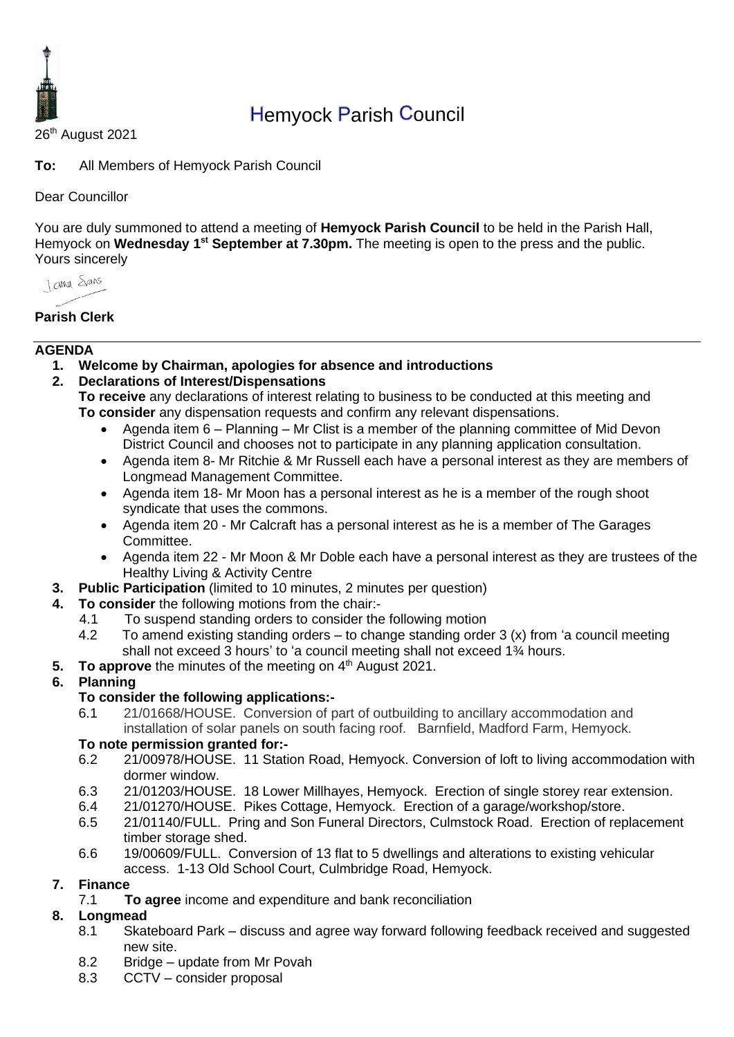

# Hemyock Parish Council

26<sup>th</sup> August 2021

**To:** All Members of Hemyock Parish Council

#### Dear Councillor

You are duly summoned to attend a meeting of **Hemyock Parish Council** to be held in the Parish Hall, Hemyock on Wednesday 1<sup>st</sup> September at 7.30pm. The meeting is open to the press and the public. Yours sincerely

*I came Spans* 

### **Parish Clerk**

#### **AGENDA**

- **1. Welcome by Chairman, apologies for absence and introductions**
- **2. Declarations of Interest/Dispensations**
	- **To receive** any declarations of interest relating to business to be conducted at this meeting and **To consider** any dispensation requests and confirm any relevant dispensations.
		- Agenda item 6 Planning Mr Clist is a member of the planning committee of Mid Devon District Council and chooses not to participate in any planning application consultation.
		- Agenda item 8- Mr Ritchie & Mr Russell each have a personal interest as they are members of Longmead Management Committee.
		- Agenda item 18- Mr Moon has a personal interest as he is a member of the rough shoot syndicate that uses the commons.
		- Agenda item 20 Mr Calcraft has a personal interest as he is a member of The Garages Committee.
		- Agenda item 22 Mr Moon & Mr Doble each have a personal interest as they are trustees of the Healthy Living & Activity Centre
- **3. Public Participation** (limited to 10 minutes, 2 minutes per question)
- **4. To consider** the following motions from the chair:-
	- 4.1 To suspend standing orders to consider the following motion
		- 4.2 To amend existing standing orders to change standing order 3 (x) from 'a council meeting shall not exceed 3 hours' to 'a council meeting shall not exceed 1¾ hours.
- **5.** To approve the minutes of the meeting on 4<sup>th</sup> August 2021.

### **6. Planning**

### **To consider the following applications:-**

6.1 21/01668/HOUSE. Conversion of part of outbuilding to ancillary accommodation and installation of solar panels on south facing roof. Barnfield, Madford Farm, Hemyock.

### **To note permission granted for:-**

- 6.2 21/00978/HOUSE. 11 Station Road, Hemyock. Conversion of loft to living accommodation with dormer window.
- 6.3 21/01203/HOUSE. 18 Lower Millhayes, Hemyock. Erection of single storey rear extension.
- 6.4 21/01270/HOUSE. Pikes Cottage, Hemyock. Erection of a garage/workshop/store.
- 6.5 21/01140/FULL. Pring and Son Funeral Directors, Culmstock Road. Erection of replacement timber storage shed.
- 6.6 19/00609/FULL. Conversion of 13 flat to 5 dwellings and alterations to existing vehicular access. 1-13 Old School Court, Culmbridge Road, Hemyock.

### **7. Finance**

7.1 **To agree** income and expenditure and bank reconciliation

### **8. Longmead**

- 8.1 Skateboard Park discuss and agree way forward following feedback received and suggested new site.
- 8.2 Bridge update from Mr Povah
- 8.3 CCTV consider proposal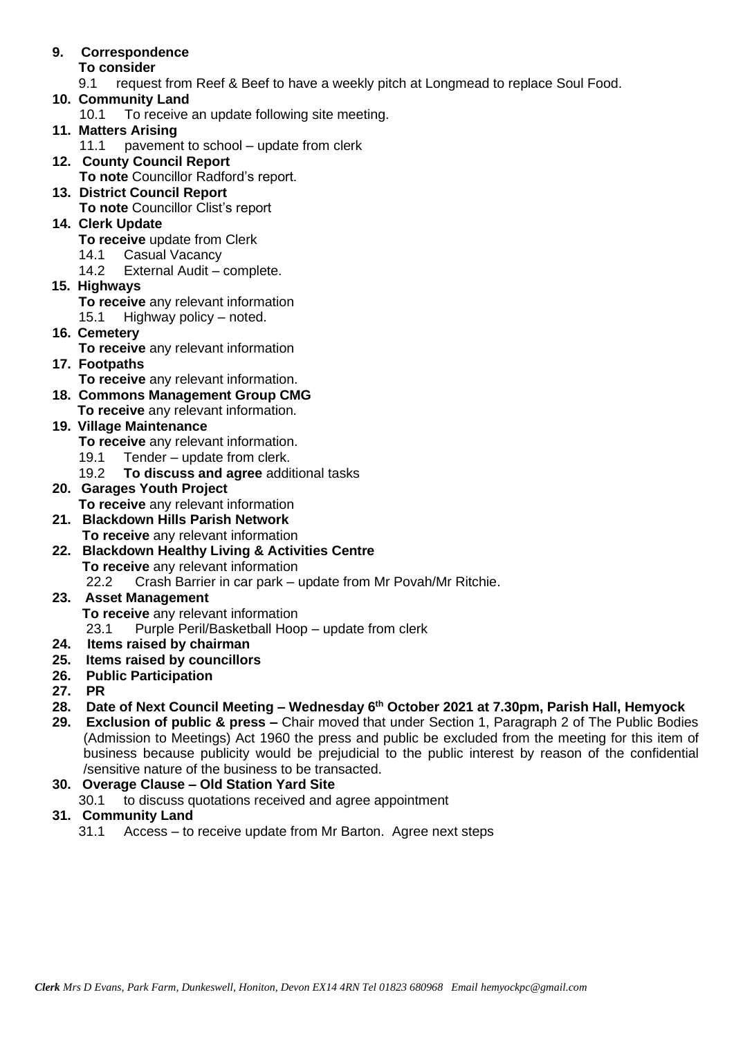# **9. Correspondence**

#### **To consider**

9.1 request from Reef & Beef to have a weekly pitch at Longmead to replace Soul Food.

### **10. Community Land**

10.1 To receive an update following site meeting.

### **11. Matters Arising**

11.1 pavement to school – update from clerk

### **12. County Council Report**

- **To note** Councillor Radford's report.
- **13. District Council Report To note** Councillor Clist's report

#### **14. Clerk Update**

- **To receive** update from Clerk
- 14.1 Casual Vacancy
- 14.2 External Audit complete.
- **15. Highways**
	- **To receive** any relevant information
	- 15.1 Highway policy noted.
- **16. Cemetery** 
	- **To receive** any relevant information

### **17. Footpaths**

**To receive** any relevant information.

- **18. Commons Management Group CMG**
- **To receive** any relevant information.

## **19. Village Maintenance**

- **To receive** any relevant information.
- 19.1 Tender update from clerk.
- 19.2 **To discuss and agree** additional tasks

#### **20. Garages Youth Project To receive** any relevant information

- **21. Blackdown Hills Parish Network To receive** any relevant information
- **22. Blackdown Healthy Living & Activities Centre To receive** any relevant information

22.2 Crash Barrier in car park – update from Mr Povah/Mr Ritchie.

#### **23. Asset Management To receive** any relevant information 23.1 Purple Peril/Basketball Hoop – update from clerk

### **24. Items raised by chairman**

- **25. Items raised by councillors**
- **26. Public Participation**
- **27. PR**
- **28. Date of Next Council Meeting – Wednesday 6 th October 2021 at 7.30pm, Parish Hall, Hemyock**
- **29. Exclusion of public & press –** Chair moved that under Section 1, Paragraph 2 of The Public Bodies (Admission to Meetings) Act 1960 the press and public be excluded from the meeting for this item of business because publicity would be prejudicial to the public interest by reason of the confidential /sensitive nature of the business to be transacted.

### **30. Overage Clause – Old Station Yard Site**

30.1 to discuss quotations received and agree appointment

### **31. Community Land**

31.1 Access – to receive update from Mr Barton. Agree next steps